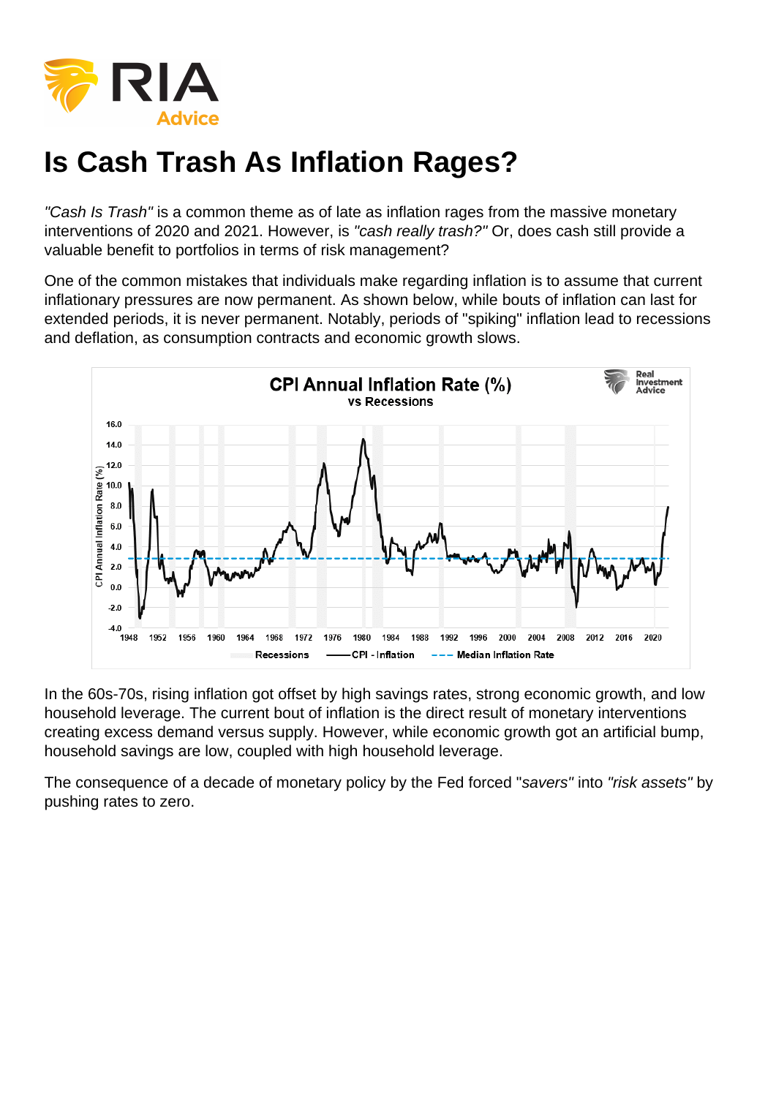# Is Cash Trash As Inflation Rages?

"Cash Is Trash" is a common theme as of late as inflation rages from the massive monetary interventions of 2020 and 2021. However, is "cash really trash?" Or, does cash still provide a valuable benefit to portfolios in terms of risk management?

One of the common mistakes that individuals make regarding inflation is to assume that current inflationary pressures are now permanent. As shown below, while bouts of inflation can last for extended periods, it is never permanent. Notably, periods of "spiking" inflation lead to recessions and deflation, as consumption contracts and economic growth slows.

In the 60s-70s, rising inflation got offset by high savings rates, strong economic growth, and low household leverage. The current bout of inflation is the direct result of monetary interventions creating excess demand versus supply. However, while economic growth got an artificial bump, household savings are low, coupled with high household leverage.

The consequence of a decade of monetary policy by the Fed forced "savers" into "risk assets" by pushing rates to zero.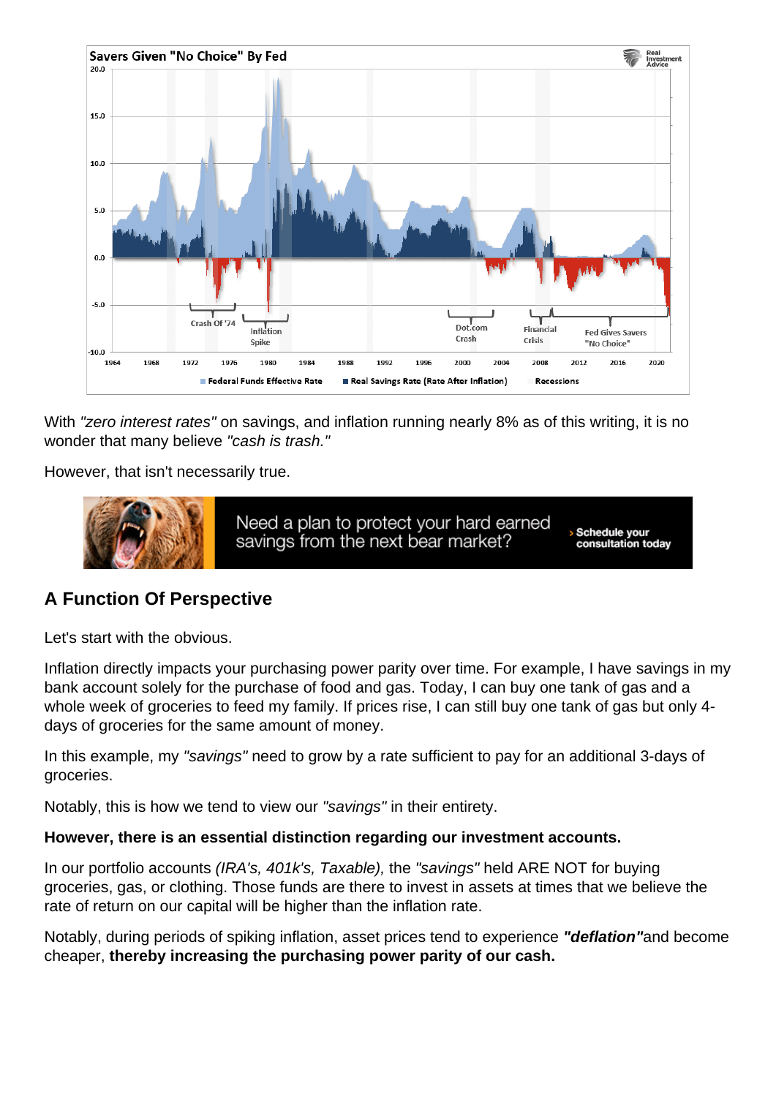With "zero interest rates" on savings, and inflation running nearly 8% as of this writing, it is no wonder that many believe "cash is trash."

However, that isn't necessarily true.

## A Function Of Perspective

Let's start with the obvious.

Inflation directly impacts your purchasing power parity over time. For example, I have savings in my bank account solely for the purchase of food and gas. Today, I can buy one tank of gas and a whole week of groceries to feed my family. If prices rise, I can still buy one tank of gas but only 4days of groceries for the same amount of money.

In this example, my "savings" need to grow by a rate sufficient to pay for an additional 3-days of groceries.

Notably, this is how we tend to view our "savings" in their entirety.

However, there is an essential distinction regarding our investment accounts.

In our portfolio accounts (IRA's, 401k's, Taxable), the "savings" held ARE NOT for buying groceries, gas, or clothing. Those funds are there to invest in assets at times that we believe the rate of return on our capital will be higher than the inflation rate.

Notably, during periods of spiking inflation, asset prices tend to experience "deflation" and become cheaper, thereby increasing the purchasing power parity of our cash.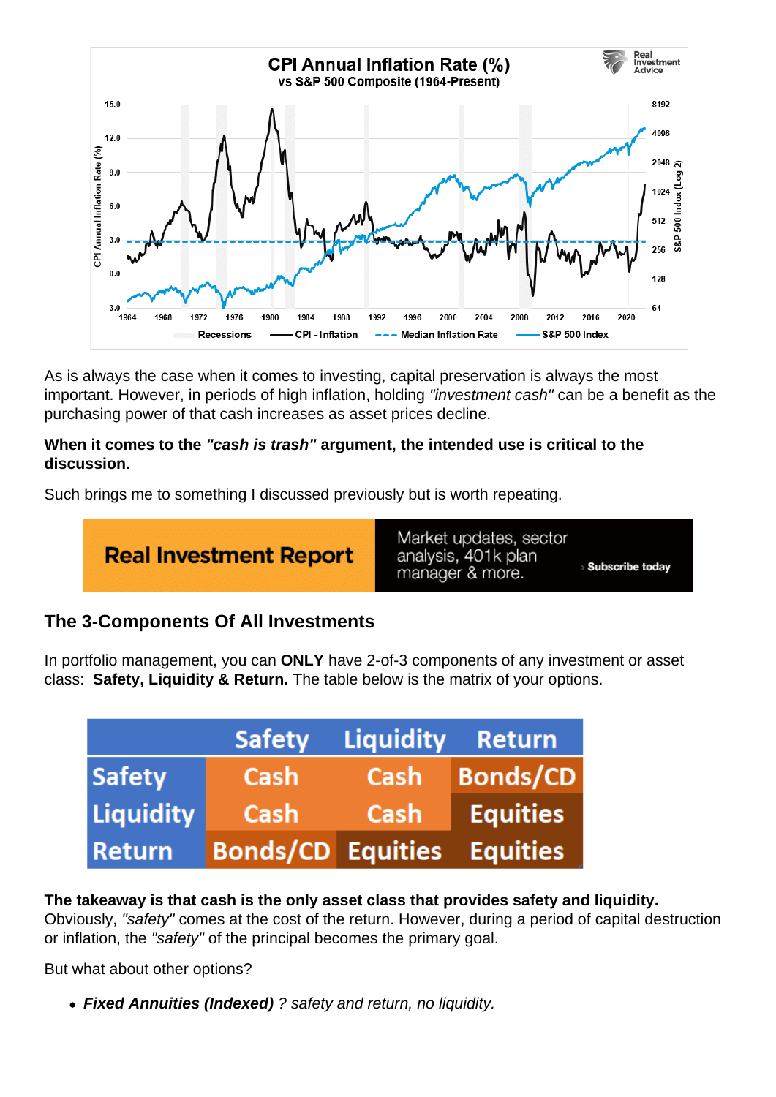As is always the case when it comes to investing, capital preservation is always the most important. However, in periods of high inflation, holding "investment cash" can be a benefit as the purchasing power of that cash increases as asset prices decline.

When it comes to the "cash is trash" argument, the intended use is critical to the discussion.

Such brings me to something I discussed previously but is worth repeating.

## The 3-Components Of All Investments

In portfolio management, you can ONLY have 2-of-3 components of any investment or asset class: Safety, Liquidity & Return. The table below is the matrix of your options.

The takeaway is that cash is the only asset class that provides safety and liquidity. Obviously, "safety" comes at the cost of the return. However, during a period of capital destruction or inflation, the "safety" of the principal becomes the primary goal.

But what about other options?

Fixed Annuities (Indexed) ? safety and return, no liquidity.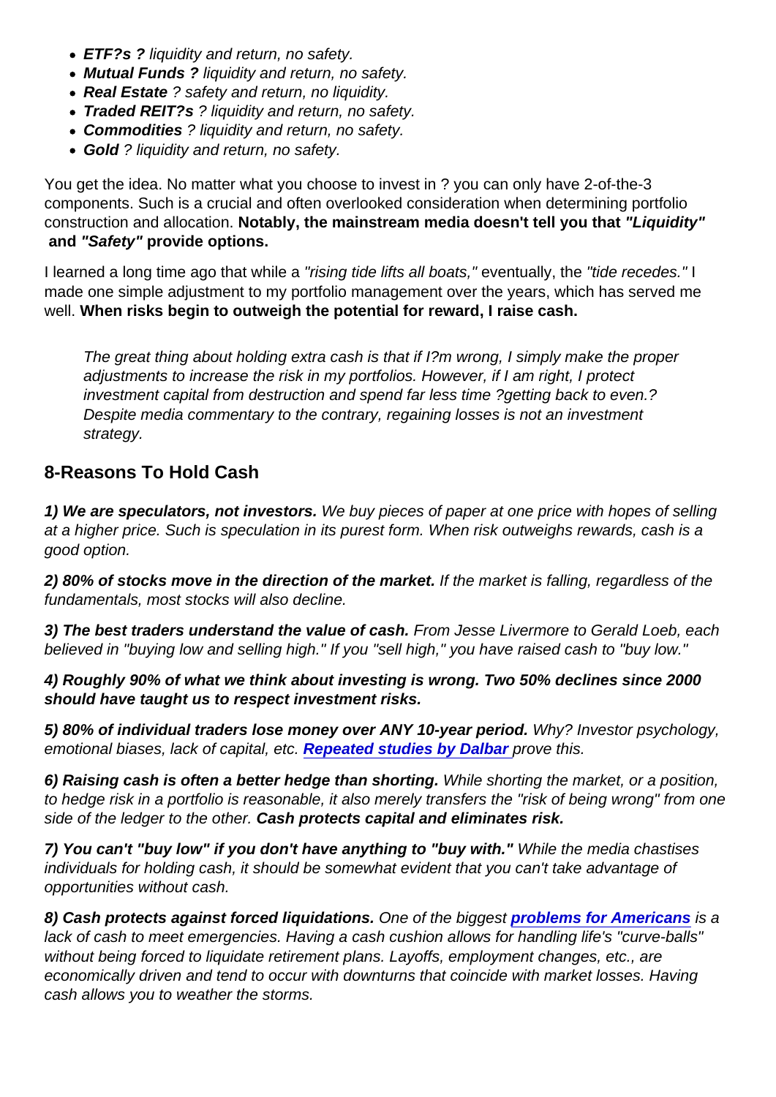- ETF?s ? liquidity and return, no safety.
- Mutual Funds ? liquidity and return, no safety.
- Real Estate ? safety and return, no liquidity.
- Traded REIT?s ? liquidity and return, no safety.
- Commodities ? liquidity and return, no safety.
- Gold ? liquidity and return, no safety.

You get the idea. No matter what you choose to invest in ? you can only have 2-of-the-3 components. Such is a crucial and often overlooked consideration when determining portfolio construction and allocation. Notably, the mainstream media doesn't tell you that "Liquidity" and "Safety" provide options.

I learned a long time ago that while a "rising tide lifts all boats," eventually, the "tide recedes." I made one simple adjustment to my portfolio management over the years, which has served me well. When risks begin to outweigh the potential for reward, I raise cash.

The great thing about holding extra cash is that if I?m wrong, I simply make the proper adjustments to increase the risk in my portfolios. However, if I am right, I protect investment capital from destruction and spend far less time ?getting back to even.? Despite media commentary to the contrary, regaining losses is not an investment strategy.

#### 8-Reasons To Hold Cash

1) We are speculators, not investors. We buy pieces of paper at one price with hopes of selling at a higher price. Such is speculation in its purest form. When risk outweighs rewards, cash is a good option.

2) 80% of stocks move in the direction of the market. If the market is falling, regardless of the fundamentals, most stocks will also decline.

3) The best traders understand the value of cash. From Jesse Livermore to Gerald Loeb, each believed in "buying low and selling high." If you "sell high," you have raised cash to "buy low."

4) Roughly 90% of what we think about investing is wrong. Two 50% declines since 2000 should have taught us to respect investment risks.

5) 80% of individual traders lose money over ANY 10-year period. Why? Investor psychology, emotional biases, lack of capital, etc. [Repeated studies by Dalbar](https://realinvestmentadvice.com/dalbar-2017-investors-suck-at-investing-tips-for-advisors/) prove this.

6) Raising cash is often a better hedge than shorting. While shorting the market, or a position, to hedge risk in a portfolio is reasonable, it also merely transfers the "risk of being wrong" from one side of the ledger to the other. Cash protects capital and eliminates risk.

7) You can't "buy low" if you don't have anything to "buy with." While the media chastises individuals for holding cash, it should be somewhat evident that you can't take advantage of opportunities without cash.

8) Cash protects against forced liquidations. One of the biggest [problems for Americans](https://realinvestmentadvice.com/retirement-confidence-declined-despite-a-surging-market/) is a lack of cash to meet emergencies. Having a cash cushion allows for handling life's "curve-balls" without being forced to liquidate retirement plans. Layoffs, employment changes, etc., are economically driven and tend to occur with downturns that coincide with market losses. Having cash allows you to weather the storms.